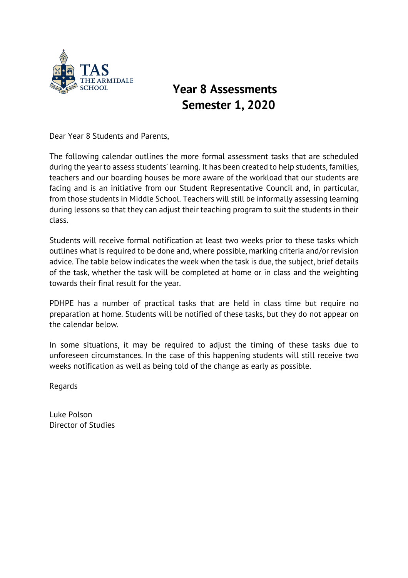

## **Year 8 Assessments Semester 1, 2020**

Dear Year 8 Students and Parents,

The following calendar outlines the more formal assessment tasks that are scheduled during the year to assess students' learning. It has been created to help students, families, teachers and our boarding houses be more aware of the workload that our students are facing and is an initiative from our Student Representative Council and, in particular, from those students in Middle School. Teachers will still be informally assessing learning during lessons so that they can adjust their teaching program to suit the students in their class.

Students will receive formal notification at least two weeks prior to these tasks which outlines what is required to be done and, where possible, marking criteria and/or revision advice. The table below indicates the week when the task is due, the subject, brief details of the task, whether the task will be completed at home or in class and the weighting towards their final result for the year.

PDHPE has a number of practical tasks that are held in class time but require no preparation at home. Students will be notified of these tasks, but they do not appear on the calendar below.

In some situations, it may be required to adjust the timing of these tasks due to unforeseen circumstances. In the case of this happening students will still receive two weeks notification as well as being told of the change as early as possible.

Regards

Luke Polson Director of Studies